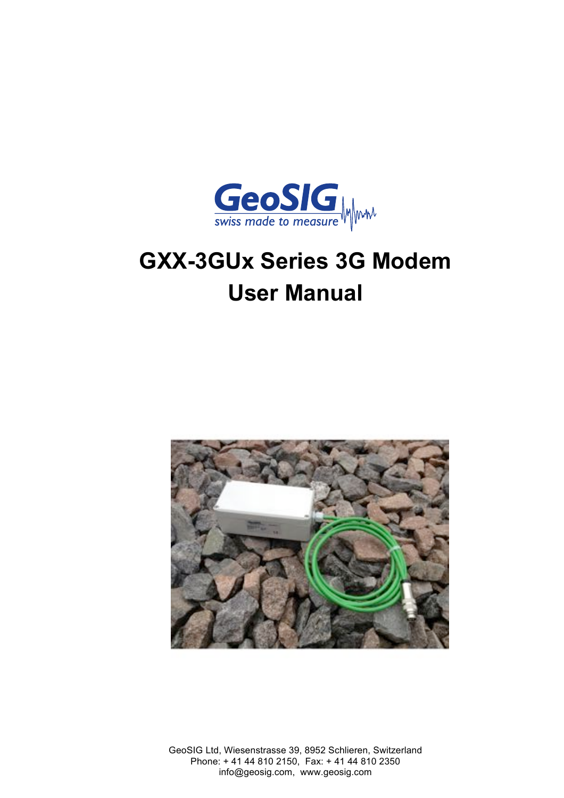

# **GXX-3GUx Series 3G Modem User Manual**



GeoSIG Ltd, Wiesenstrasse 39, 8952 Schlieren, Switzerland Phone: + 41 44 810 2150, Fax: + 41 44 810 2350 info@geosig.com, www.geosig.com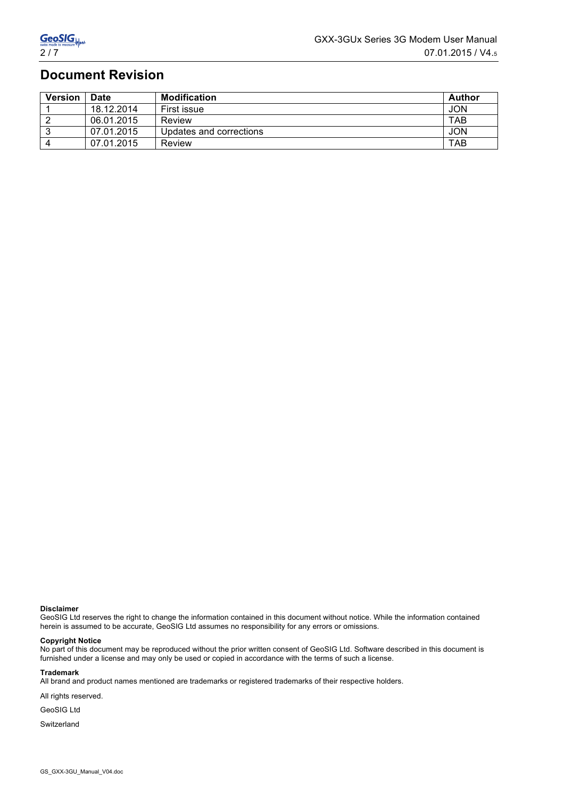# **Document Revision**

| <b>Version</b> | <b>Date</b> | <b>Modification</b>     | Author     |
|----------------|-------------|-------------------------|------------|
|                | 18.12.2014  | First issue             | JON        |
|                | 06.01.2015  | Review                  | TAB        |
|                | 07.01.2015  | Updates and corrections | <b>JON</b> |
| Δ              | 07.01.2015  | Review                  | TAB        |

#### **Disclaimer**

GeoSIG Ltd reserves the right to change the information contained in this document without notice. While the information contained herein is assumed to be accurate, GeoSIG Ltd assumes no responsibility for any errors or omissions.

#### **Copyright Notice**

No part of this document may be reproduced without the prior written consent of GeoSIG Ltd. Software described in this document is furnished under a license and may only be used or copied in accordance with the terms of such a license.

#### **Trademark**

All brand and product names mentioned are trademarks or registered trademarks of their respective holders.

All rights reserved.

GeoSIG Ltd

Switzerland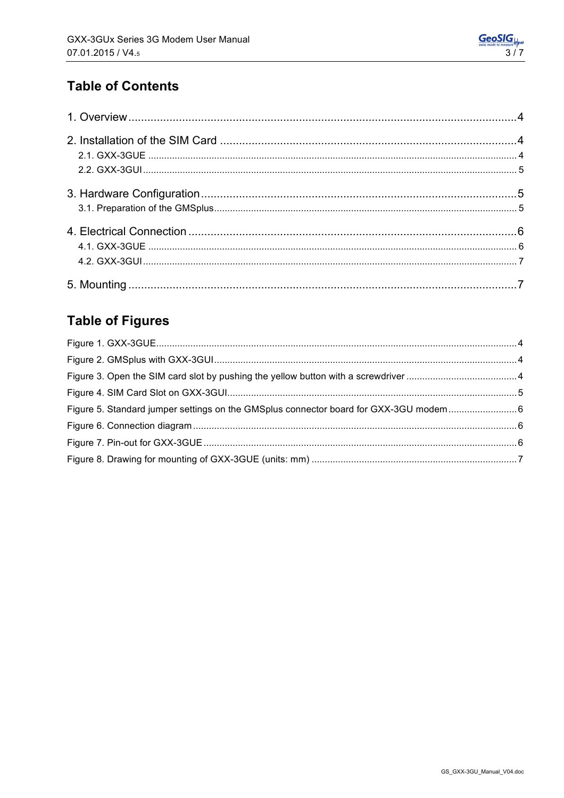# **Table of Contents**

# **Table of Figures**

| Figure 5. Standard jumper settings on the GMSplus connector board for GXX-3GU modem |  |
|-------------------------------------------------------------------------------------|--|
|                                                                                     |  |
|                                                                                     |  |
|                                                                                     |  |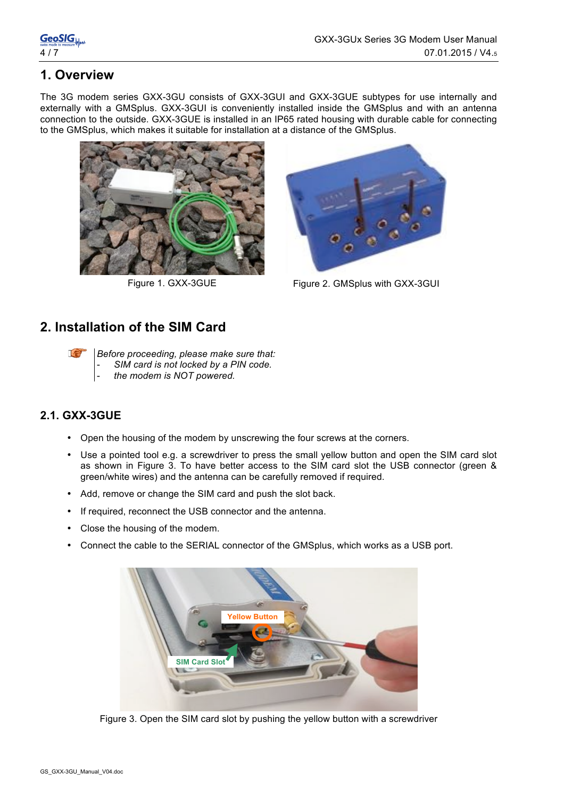# **1. Overview**

The 3G modem series GXX-3GU consists of GXX-3GUI and GXX-3GUE subtypes for use internally and externally with a GMSplus. GXX-3GUI is conveniently installed inside the GMSplus and with an antenna connection to the outside. GXX-3GUE is installed in an IP65 rated housing with durable cable for connecting to the GMSplus, which makes it suitable for installation at a distance of the GMSplus.





Figure 1. GXX-3GUE Figure 2. GMSplus with GXX-3GUI

## **2. Installation of the SIM Card**

Le

*Before proceeding, please make sure that:* SIM card is not locked by a PIN code.

- *the modem is NOT powered.*

### **2.1. GXX-3GUE**

- Open the housing of the modem by unscrewing the four screws at the corners.
- Use a pointed tool e.g. a screwdriver to press the small yellow button and open the SIM card slot as shown in Figure 3. To have better access to the SIM card slot the USB connector (green & green/white wires) and the antenna can be carefully removed if required.
- Add, remove or change the SIM card and push the slot back.
- If required, reconnect the USB connector and the antenna.
- Close the housing of the modem.
- Connect the cable to the SERIAL connector of the GMSplus, which works as a USB port.



Figure 3. Open the SIM card slot by pushing the yellow button with a screwdriver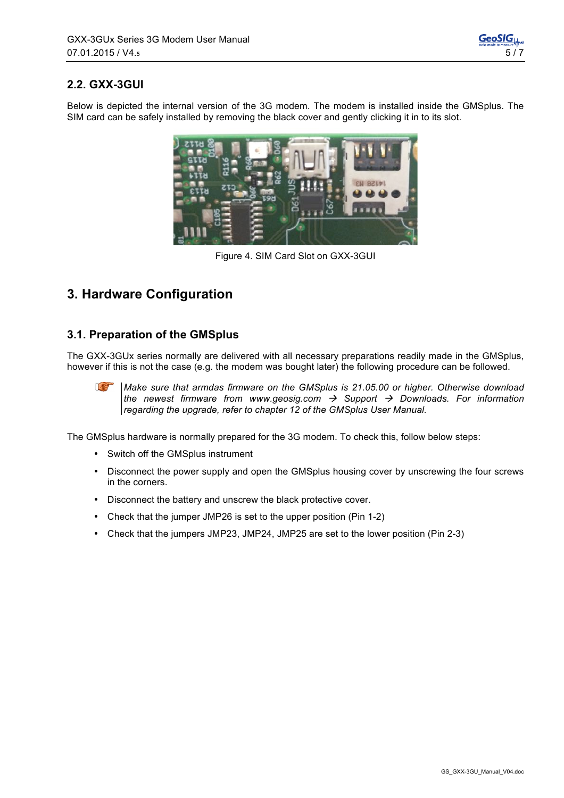### **2.2. GXX-3GUI**

Below is depicted the internal version of the 3G modem. The modem is installed inside the GMSplus. The SIM card can be safely installed by removing the black cover and gently clicking it in to its slot.



Figure 4. SIM Card Slot on GXX-3GUI

# **3. Hardware Configuration**

#### **3.1. Preparation of the GMSplus**

The GXX-3GUx series normally are delivered with all necessary preparations readily made in the GMSplus, however if this is not the case (e.g. the modem was bought later) the following procedure can be followed.



The GMSplus hardware is normally prepared for the 3G modem. To check this, follow below steps:

- Switch off the GMSplus instrument
- Disconnect the power supply and open the GMSplus housing cover by unscrewing the four screws in the corners.
- Disconnect the battery and unscrew the black protective cover.
- Check that the jumper JMP26 is set to the upper position (Pin 1-2)
- Check that the jumpers JMP23, JMP24, JMP25 are set to the lower position (Pin 2-3)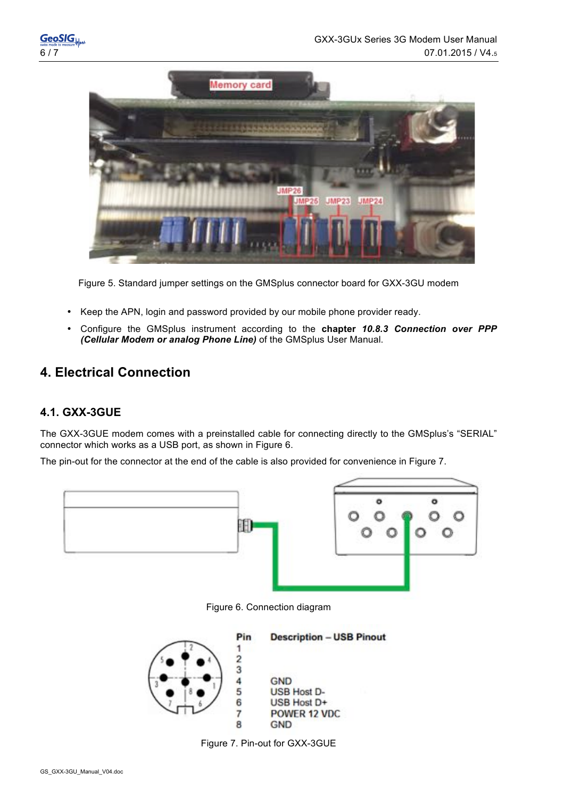



Figure 5. Standard jumper settings on the GMSplus connector board for GXX-3GU modem

- Keep the APN, login and password provided by our mobile phone provider ready.
- Configure the GMSplus instrument according to the **chapter** *10.8.3 Connection over PPP (Cellular Modem or analog Phone Line)* of the GMSplus User Manual.

## **4. Electrical Connection**

#### **4.1. GXX-3GUE**

The GXX-3GUE modem comes with a preinstalled cable for connecting directly to the GMSplus's "SERIAL" connector which works as a USB port, as shown in Figure 6.

The pin-out for the connector at the end of the cable is also provided for convenience in Figure 7.



Figure 6. Connection diagram



Figure 7. Pin-out for GXX-3GUE